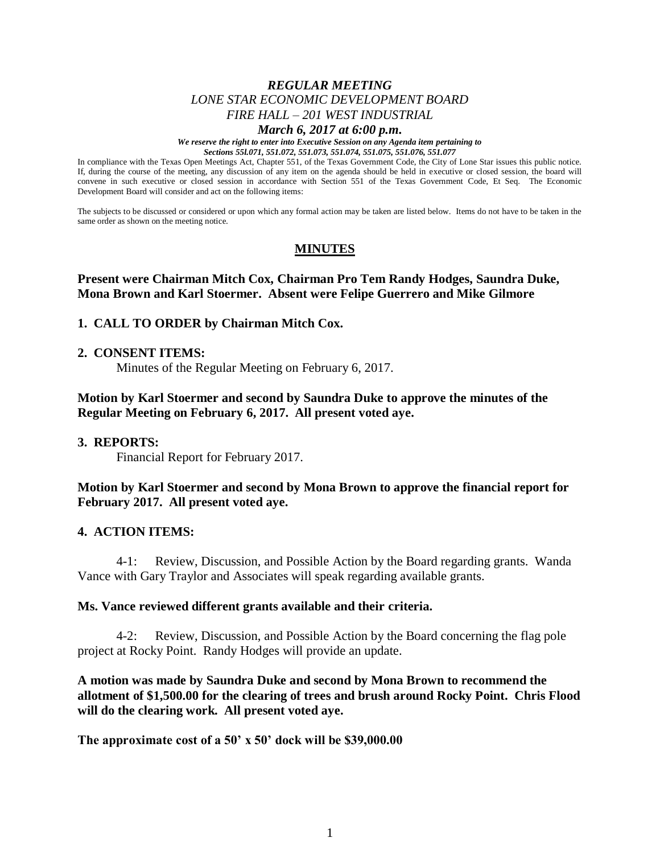# *REGULAR MEETING LONE STAR ECONOMIC DEVELOPMENT BOARD FIRE HALL – 201 WEST INDUSTRIAL*

## *March 6, 2017 at 6:00 p.m.*

*We reserve the right to enter into Executive Session on any Agenda item pertaining to Sections 55l.071, 551.072, 551.073, 551.074, 551.075, 551.076, 551.077*

In compliance with the Texas Open Meetings Act, Chapter 551, of the Texas Government Code, the City of Lone Star issues this public notice. If, during the course of the meeting, any discussion of any item on the agenda should be held in executive or closed session, the board will convene in such executive or closed session in accordance with Section 551 of the Texas Government Code, Et Seq. The Economic Development Board will consider and act on the following items:

The subjects to be discussed or considered or upon which any formal action may be taken are listed below. Items do not have to be taken in the same order as shown on the meeting notice.

# **MINUTES**

## **Present were Chairman Mitch Cox, Chairman Pro Tem Randy Hodges, Saundra Duke, Mona Brown and Karl Stoermer. Absent were Felipe Guerrero and Mike Gilmore**

### **1. CALL TO ORDER by Chairman Mitch Cox.**

#### **2. CONSENT ITEMS:**

Minutes of the Regular Meeting on February 6, 2017.

# **Motion by Karl Stoermer and second by Saundra Duke to approve the minutes of the Regular Meeting on February 6, 2017. All present voted aye.**

### **3. REPORTS:**

Financial Report for February 2017.

## **Motion by Karl Stoermer and second by Mona Brown to approve the financial report for February 2017. All present voted aye.**

### **4. ACTION ITEMS:**

4-1: Review, Discussion, and Possible Action by the Board regarding grants. Wanda Vance with Gary Traylor and Associates will speak regarding available grants.

#### **Ms. Vance reviewed different grants available and their criteria.**

4-2: Review, Discussion, and Possible Action by the Board concerning the flag pole project at Rocky Point. Randy Hodges will provide an update.

**A motion was made by Saundra Duke and second by Mona Brown to recommend the allotment of \$1,500.00 for the clearing of trees and brush around Rocky Point. Chris Flood will do the clearing work. All present voted aye.** 

**The approximate cost of a 50' x 50' dock will be \$39,000.00**